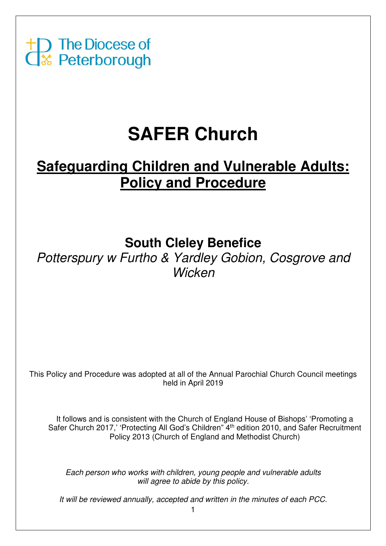

# **SAFER Church**

# **Safeguarding Children and Vulnerable Adults: Policy and Procedure**

# **South Cleley Benefice**

Potterspury w Furtho & Yardley Gobion, Cosgrove and **Wicken** 

This Policy and Procedure was adopted at all of the Annual Parochial Church Council meetings held in April 2019

It follows and is consistent with the Church of England House of Bishops' 'Promoting a Safer Church 2017,' 'Protecting All God's Children" 4<sup>th</sup> edition 2010, and Safer Recruitment Policy 2013 (Church of England and Methodist Church)

Each person who works with children, young people and vulnerable adults will agree to abide by this policy.

It will be reviewed annually, accepted and written in the minutes of each PCC.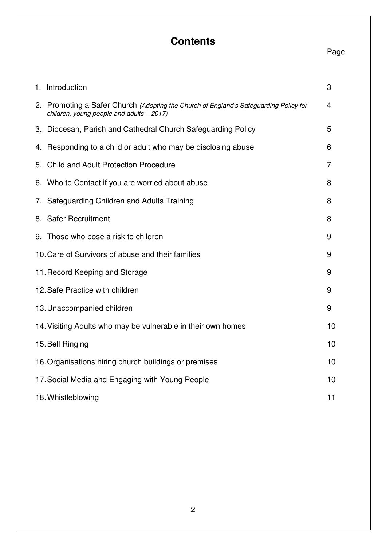# **Contents**

# Page

| 1. Introduction                                                                                                                    | 3  |
|------------------------------------------------------------------------------------------------------------------------------------|----|
| 2. Promoting a Safer Church (Adopting the Church of England's Safeguarding Policy for<br>children, young people and adults - 2017) | 4  |
| 3. Diocesan, Parish and Cathedral Church Safeguarding Policy                                                                       | 5  |
| 4. Responding to a child or adult who may be disclosing abuse                                                                      | 6  |
| 5. Child and Adult Protection Procedure                                                                                            | 7  |
| 6. Who to Contact if you are worried about abuse                                                                                   | 8  |
| 7. Safeguarding Children and Adults Training                                                                                       | 8  |
| 8. Safer Recruitment                                                                                                               | 8  |
| 9. Those who pose a risk to children                                                                                               | 9  |
| 10. Care of Survivors of abuse and their families                                                                                  | 9  |
| 11. Record Keeping and Storage                                                                                                     | 9  |
| 12. Safe Practice with children                                                                                                    | 9  |
| 13. Unaccompanied children                                                                                                         | 9  |
| 14. Visiting Adults who may be vulnerable in their own homes                                                                       | 10 |
| 15. Bell Ringing                                                                                                                   | 10 |
| 16. Organisations hiring church buildings or premises                                                                              | 10 |
| 17. Social Media and Engaging with Young People                                                                                    | 10 |
| 18. Whistleblowing                                                                                                                 | 11 |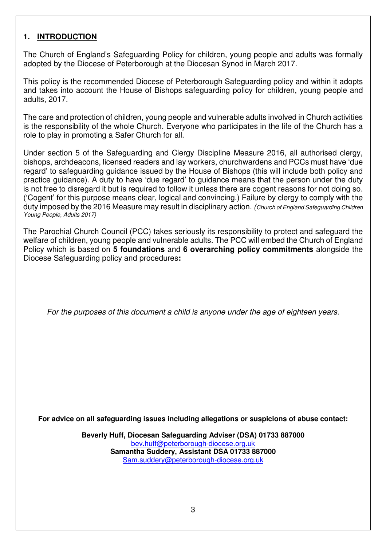## **1. INTRODUCTION**

The Church of England's Safeguarding Policy for children, young people and adults was formally adopted by the Diocese of Peterborough at the Diocesan Synod in March 2017.

This policy is the recommended Diocese of Peterborough Safeguarding policy and within it adopts and takes into account the House of Bishops safeguarding policy for children, young people and adults, 2017.

The care and protection of children, young people and vulnerable adults involved in Church activities is the responsibility of the whole Church. Everyone who participates in the life of the Church has a role to play in promoting a Safer Church for all.

Under section 5 of the Safeguarding and Clergy Discipline Measure 2016, all authorised clergy, bishops, archdeacons, licensed readers and lay workers, churchwardens and PCCs must have 'due regard' to safeguarding guidance issued by the House of Bishops (this will include both policy and practice guidance). A duty to have 'due regard' to guidance means that the person under the duty is not free to disregard it but is required to follow it unless there are cogent reasons for not doing so. ('Cogent' for this purpose means clear, logical and convincing.) Failure by clergy to comply with the duty imposed by the 2016 Measure may result in disciplinary action. (Church of England Safeguarding Children Young People, Adults 2017)

The Parochial Church Council (PCC) takes seriously its responsibility to protect and safeguard the welfare of children, young people and vulnerable adults. The PCC will embed the Church of England Policy which is based on **5 foundations** and **6 overarching policy commitments** alongside the Diocese Safeguarding policy and procedures**:** 

For the purposes of this document a child is anyone under the age of eighteen years.

**For advice on all safeguarding issues including allegations or suspicions of abuse contact:** 

**Beverly Huff, Diocesan Safeguarding Adviser (DSA) 01733 887000**  bev.huff@peterborough-diocese.org.uk **Samantha Suddery, Assistant DSA 01733 887000**  Sam.suddery@peterborough-diocese.org.uk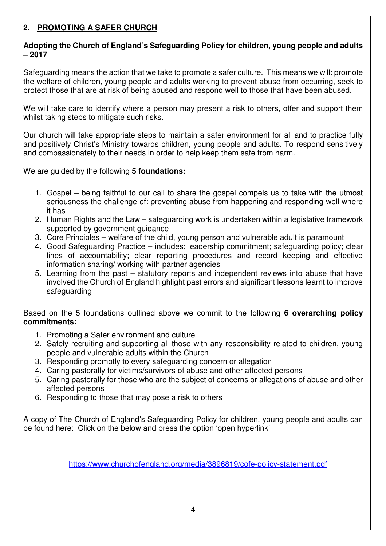# **2. PROMOTING A SAFER CHURCH**

#### **Adopting the Church of England's Safeguarding Policy for children, young people and adults – 2017**

Safeguarding means the action that we take to promote a safer culture. This means we will: promote the welfare of children, young people and adults working to prevent abuse from occurring, seek to protect those that are at risk of being abused and respond well to those that have been abused.

We will take care to identify where a person may present a risk to others, offer and support them whilst taking steps to mitigate such risks.

Our church will take appropriate steps to maintain a safer environment for all and to practice fully and positively Christ's Ministry towards children, young people and adults. To respond sensitively and compassionately to their needs in order to help keep them safe from harm.

We are guided by the following **5 foundations:** 

- 1. Gospel being faithful to our call to share the gospel compels us to take with the utmost seriousness the challenge of: preventing abuse from happening and responding well where it has
- 2. Human Rights and the Law safeguarding work is undertaken within a legislative framework supported by government guidance
- 3. Core Principles welfare of the child, young person and vulnerable adult is paramount
- 4. Good Safeguarding Practice includes: leadership commitment; safeguarding policy; clear lines of accountability; clear reporting procedures and record keeping and effective information sharing/ working with partner agencies
- 5. Learning from the past statutory reports and independent reviews into abuse that have involved the Church of England highlight past errors and significant lessons learnt to improve safeguarding

Based on the 5 foundations outlined above we commit to the following **6 overarching policy commitments:** 

- 1. Promoting a Safer environment and culture
- 2. Safely recruiting and supporting all those with any responsibility related to children, young people and vulnerable adults within the Church
- 3. Responding promptly to every safeguarding concern or allegation
- 4. Caring pastorally for victims/survivors of abuse and other affected persons
- 5. Caring pastorally for those who are the subject of concerns or allegations of abuse and other affected persons
- 6. Responding to those that may pose a risk to others

A copy of The Church of England's Safeguarding Policy for children, young people and adults can be found here: Click on the below and press the option 'open hyperlink'

https://www.churchofengland.org/media/3896819/cofe-policy-statement.pdf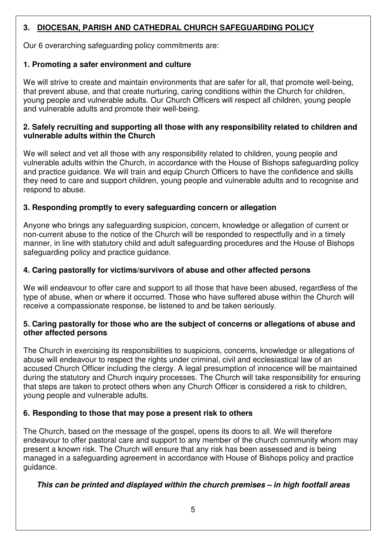# **3. DIOCESAN, PARISH AND CATHEDRAL CHURCH SAFEGUARDING POLICY**

Our 6 overarching safeguarding policy commitments are:

#### **1. Promoting a safer environment and culture**

We will strive to create and maintain environments that are safer for all, that promote well-being, that prevent abuse, and that create nurturing, caring conditions within the Church for children, young people and vulnerable adults. Our Church Officers will respect all children, young people and vulnerable adults and promote their well-being.

#### **2. Safely recruiting and supporting all those with any responsibility related to children and vulnerable adults within the Church**

We will select and vet all those with any responsibility related to children, young people and vulnerable adults within the Church, in accordance with the House of Bishops safeguarding policy and practice guidance. We will train and equip Church Officers to have the confidence and skills they need to care and support children, young people and vulnerable adults and to recognise and respond to abuse.

## **3. Responding promptly to every safeguarding concern or allegation**

Anyone who brings any safeguarding suspicion, concern, knowledge or allegation of current or non-current abuse to the notice of the Church will be responded to respectfully and in a timely manner, in line with statutory child and adult safeguarding procedures and the House of Bishops safeguarding policy and practice guidance.

## **4. Caring pastorally for victims/survivors of abuse and other affected persons**

We will endeavour to offer care and support to all those that have been abused, regardless of the type of abuse, when or where it occurred. Those who have suffered abuse within the Church will receive a compassionate response, be listened to and be taken seriously.

#### **5. Caring pastorally for those who are the subject of concerns or allegations of abuse and other affected persons**

The Church in exercising its responsibilities to suspicions, concerns, knowledge or allegations of abuse will endeavour to respect the rights under criminal, civil and ecclesiastical law of an accused Church Officer including the clergy. A legal presumption of innocence will be maintained during the statutory and Church inquiry processes. The Church will take responsibility for ensuring that steps are taken to protect others when any Church Officer is considered a risk to children, young people and vulnerable adults.

#### **6. Responding to those that may pose a present risk to others**

The Church, based on the message of the gospel, opens its doors to all. We will therefore endeavour to offer pastoral care and support to any member of the church community whom may present a known risk. The Church will ensure that any risk has been assessed and is being managed in a safeguarding agreement in accordance with House of Bishops policy and practice guidance.

#### **This can be printed and displayed within the church premises – in high footfall areas**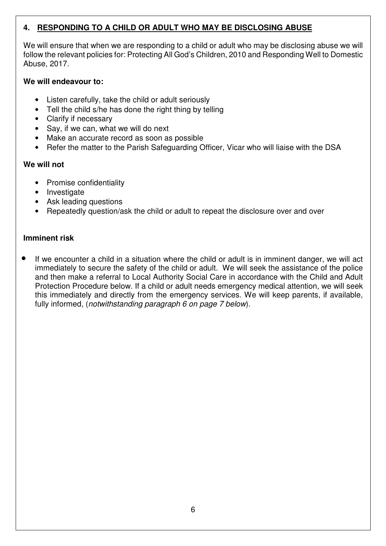# **4. RESPONDING TO A CHILD OR ADULT WHO MAY BE DISCLOSING ABUSE**

We will ensure that when we are responding to a child or adult who may be disclosing abuse we will follow the relevant policies for: Protecting All God's Children, 2010 and Responding Well to Domestic Abuse, 2017.

#### **We will endeavour to:**

- Listen carefully, take the child or adult seriously
- Tell the child s/he has done the right thing by telling
- Clarify if necessary
- Say, if we can, what we will do next
- Make an accurate record as soon as possible
- Refer the matter to the Parish Safeguarding Officer, Vicar who will liaise with the DSA

#### **We will not**

- Promise confidentiality
- Investigate
- Ask leading questions
- Repeatedly question/ask the child or adult to repeat the disclosure over and over

#### **Imminent risk**

If we encounter a child in a situation where the child or adult is in imminent danger, we will act immediately to secure the safety of the child or adult. We will seek the assistance of the police and then make a referral to Local Authority Social Care in accordance with the Child and Adult Protection Procedure below. If a child or adult needs emergency medical attention, we will seek this immediately and directly from the emergency services. We will keep parents, if available, fully informed, (notwithstanding paragraph 6 on page 7 below).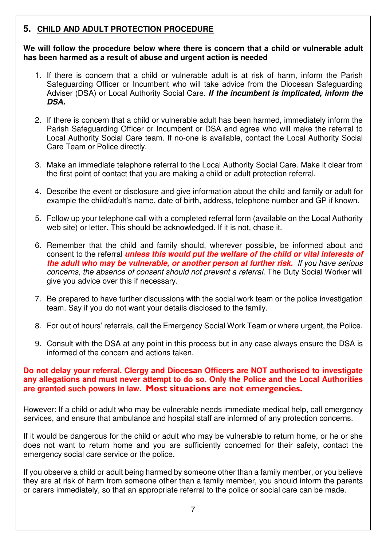# **5. CHILD AND ADULT PROTECTION PROCEDURE**

**We will follow the procedure below where there is concern that a child or vulnerable adult has been harmed as a result of abuse and urgent action is needed** 

- 1. If there is concern that a child or vulnerable adult is at risk of harm, inform the Parish Safeguarding Officer or Incumbent who will take advice from the Diocesan Safeguarding Adviser (DSA) or Local Authority Social Care. **If the incumbent is implicated, inform the DSA.**
- 2. If there is concern that a child or vulnerable adult has been harmed, immediately inform the Parish Safeguarding Officer or Incumbent or DSA and agree who will make the referral to Local Authority Social Care team. If no-one is available, contact the Local Authority Social Care Team or Police directly.
- 3. Make an immediate telephone referral to the Local Authority Social Care. Make it clear from the first point of contact that you are making a child or adult protection referral.
- 4. Describe the event or disclosure and give information about the child and family or adult for example the child/adult's name, date of birth, address, telephone number and GP if known.
- 5. Follow up your telephone call with a completed referral form (available on the Local Authority web site) or letter. This should be acknowledged. If it is not, chase it.
- 6. Remember that the child and family should, wherever possible, be informed about and consent to the referral **unless this would put the welfare of the child or vital interests of the adult who may be vulnerable, or another person at further risk.** If you have serious concerns, the absence of consent should not prevent a referral. The Duty Social Worker will give you advice over this if necessary.
- 7. Be prepared to have further discussions with the social work team or the police investigation team. Say if you do not want your details disclosed to the family.
- 8. For out of hours' referrals, call the Emergency Social Work Team or where urgent, the Police.
- 9. Consult with the DSA at any point in this process but in any case always ensure the DSA is informed of the concern and actions taken.

#### **Do not delay your referral. Clergy and Diocesan Officers are NOT authorised to investigate any allegations and must never attempt to do so. Only the Police and the Local Authorities are granted such powers in law. Most situations are not emergencies.**

However: If a child or adult who may be vulnerable needs immediate medical help, call emergency services, and ensure that ambulance and hospital staff are informed of any protection concerns.

If it would be dangerous for the child or adult who may be vulnerable to return home, or he or she does not want to return home and you are sufficiently concerned for their safety, contact the emergency social care service or the police.

If you observe a child or adult being harmed by someone other than a family member, or you believe they are at risk of harm from someone other than a family member, you should inform the parents or carers immediately, so that an appropriate referral to the police or social care can be made.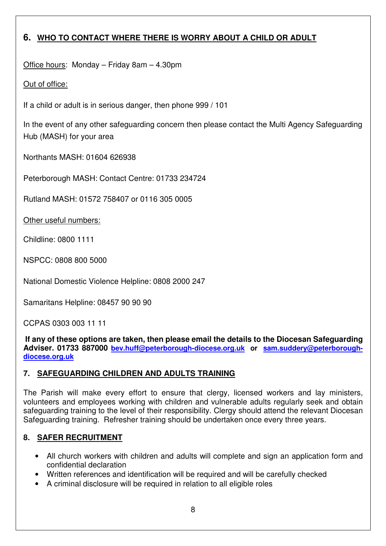# **6. WHO TO CONTACT WHERE THERE IS WORRY ABOUT A CHILD OR ADULT**

Office hours: Monday – Friday 8am – 4.30pm

# Out of office:

If a child or adult is in serious danger, then phone 999 / 101

In the event of any other safeguarding concern then please contact the Multi Agency Safeguarding Hub (MASH) for your area

Northants MASH: 01604 626938

Peterborough MASH: Contact Centre: 01733 234724

Rutland MASH: 01572 758407 or 0116 305 0005

Other useful numbers:

Childline: 0800 1111

NSPCC: 0808 800 5000

National Domestic Violence Helpline: 0808 2000 247

Samaritans Helpline: 08457 90 90 90

CCPAS 0303 003 11 11

 **If any of these options are taken, then please email the details to the Diocesan Safeguarding Adviser. 01733 887000 bev.huff@peterborough-diocese.org.uk or sam.suddery@peterboroughdiocese.org.uk**

# **7. SAFEGUARDING CHILDREN AND ADULTS TRAINING**

The Parish will make every effort to ensure that clergy, licensed workers and lay ministers, volunteers and employees working with children and vulnerable adults regularly seek and obtain safeguarding training to the level of their responsibility. Clergy should attend the relevant Diocesan Safeguarding training. Refresher training should be undertaken once every three years.

# **8. SAFER RECRUITMENT**

- All church workers with children and adults will complete and sign an application form and confidential declaration
- Written references and identification will be required and will be carefully checked
- A criminal disclosure will be required in relation to all eligible roles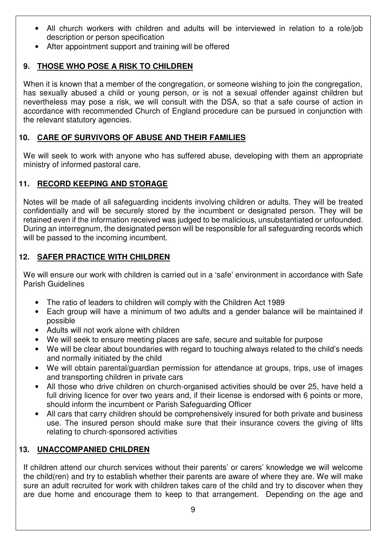- All church workers with children and adults will be interviewed in relation to a role/job description or person specification
- After appointment support and training will be offered

# **9. THOSE WHO POSE A RISK TO CHILDREN**

When it is known that a member of the congregation, or someone wishing to join the congregation, has sexually abused a child or young person, or is not a sexual offender against children but nevertheless may pose a risk, we will consult with the DSA, so that a safe course of action in accordance with recommended Church of England procedure can be pursued in conjunction with the relevant statutory agencies.

# **10. CARE OF SURVIVORS OF ABUSE AND THEIR FAMILIES**

We will seek to work with anyone who has suffered abuse, developing with them an appropriate ministry of informed pastoral care.

# **11. RECORD KEEPING AND STORAGE**

Notes will be made of all safeguarding incidents involving children or adults. They will be treated confidentially and will be securely stored by the incumbent or designated person. They will be retained even if the information received was judged to be malicious, unsubstantiated or unfounded. During an interregnum, the designated person will be responsible for all safeguarding records which will be passed to the incoming incumbent.

# **12. SAFER PRACTICE WITH CHILDREN**

We will ensure our work with children is carried out in a 'safe' environment in accordance with Safe Parish Guidelines

- The ratio of leaders to children will comply with the Children Act 1989
- Each group will have a minimum of two adults and a gender balance will be maintained if possible
- Adults will not work alone with children
- We will seek to ensure meeting places are safe, secure and suitable for purpose
- We will be clear about boundaries with regard to touching always related to the child's needs and normally initiated by the child
- We will obtain parental/guardian permission for attendance at groups, trips, use of images and transporting children in private cars
- All those who drive children on church-organised activities should be over 25, have held a full driving licence for over two years and, if their license is endorsed with 6 points or more, should inform the incumbent or Parish Safeguarding Officer
- All cars that carry children should be comprehensively insured for both private and business use. The insured person should make sure that their insurance covers the giving of lifts relating to church-sponsored activities

# **13. UNACCOMPANIED CHILDREN**

If children attend our church services without their parents' or carers' knowledge we will welcome the child(ren) and try to establish whether their parents are aware of where they are. We will make sure an adult recruited for work with children takes care of the child and try to discover when they are due home and encourage them to keep to that arrangement. Depending on the age and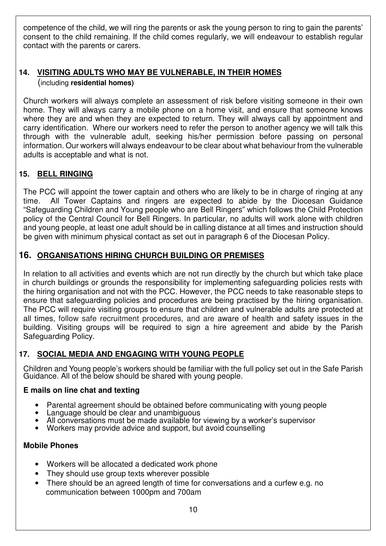competence of the child, we will ring the parents or ask the young person to ring to gain the parents' consent to the child remaining. If the child comes regularly, we will endeavour to establish regular contact with the parents or carers.

# **14. VISITING ADULTS WHO MAY BE VULNERABLE, IN THEIR HOMES**  (including **residential homes)**

Church workers will always complete an assessment of risk before visiting someone in their own home. They will always carry a mobile phone on a home visit, and ensure that someone knows where they are and when they are expected to return. They will always call by appointment and carry identification. Where our workers need to refer the person to another agency we will talk this through with the vulnerable adult, seeking his/her permission before passing on personal information. Our workers will always endeavour to be clear about what behaviour from the vulnerable adults is acceptable and what is not.

# **15. BELL RINGING**

The PCC will appoint the tower captain and others who are likely to be in charge of ringing at any time. All Tower Captains and ringers are expected to abide by the Diocesan Guidance "Safeguarding Children and Young people who are Bell Ringers" which follows the Child Protection policy of the Central Council for Bell Ringers. In particular, no adults will work alone with children and young people, at least one adult should be in calling distance at all times and instruction should be given with minimum physical contact as set out in paragraph 6 of the Diocesan Policy.

# **16. ORGANISATIONS HIRING CHURCH BUILDING OR PREMISES**

In relation to all activities and events which are not run directly by the church but which take place in church buildings or grounds the responsibility for implementing safeguarding policies rests with the hiring organisation and not with the PCC. However, the PCC needs to take reasonable steps to ensure that safeguarding policies and procedures are being practised by the hiring organisation. The PCC will require visiting groups to ensure that children and vulnerable adults are protected at all times, follow safe recruitment procedures, and are aware of health and safety issues in the building. Visiting groups will be required to sign a hire agreement and abide by the Parish Safeguarding Policy.

#### **17. SOCIAL MEDIA AND ENGAGING WITH YOUNG PEOPLE**

Children and Young people's workers should be familiar with the full policy set out in the Safe Parish Guidance. All of the below should be shared with young people.

#### **E mails on line chat and texting**

- Parental agreement should be obtained before communicating with young people
- Language should be clear and unambiguous
- All conversations must be made available for viewing by a worker's supervisor
- Workers may provide advice and support, but avoid counselling

#### **Mobile Phones**

- Workers will be allocated a dedicated work phone
- They should use group texts wherever possible
- There should be an agreed length of time for conversations and a curfew e.g. no communication between 1000pm and 700am